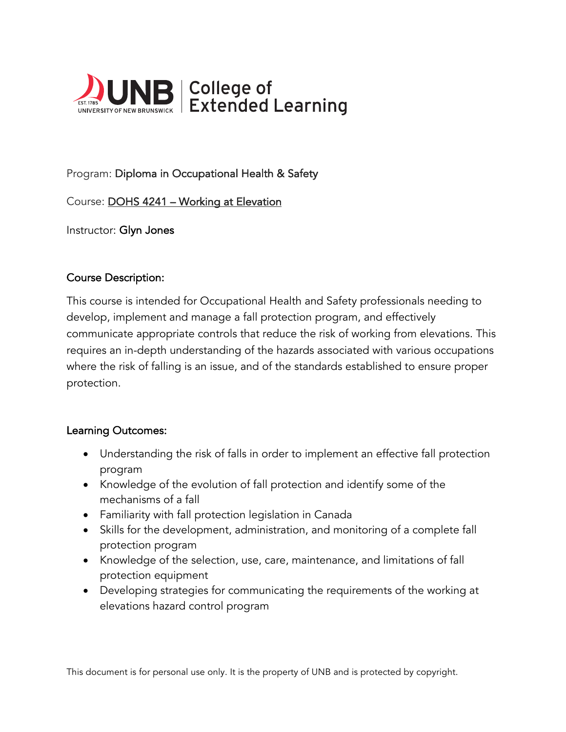

# Program: Diploma in Occupational Health & Safety

Course: DOHS 4241 – Working at Elevation

Instructor: Glyn Jones

#### Course Description:

This course is intended for Occupational Health and Safety professionals needing to develop, implement and manage a fall protection program, and effectively communicate appropriate controls that reduce the risk of working from elevations. This requires an in-depth understanding of the hazards associated with various occupations where the risk of falling is an issue, and of the standards established to ensure proper protection.

#### Learning Outcomes:

- Understanding the risk of falls in order to implement an effective fall protection program
- Knowledge of the evolution of fall protection and identify some of the mechanisms of a fall
- Familiarity with fall protection legislation in Canada
- Skills for the development, administration, and monitoring of a complete fall protection program
- Knowledge of the selection, use, care, maintenance, and limitations of fall protection equipment
- Developing strategies for communicating the requirements of the working at elevations hazard control program

This document is for personal use only. It is the property of UNB and is protected by copyright.